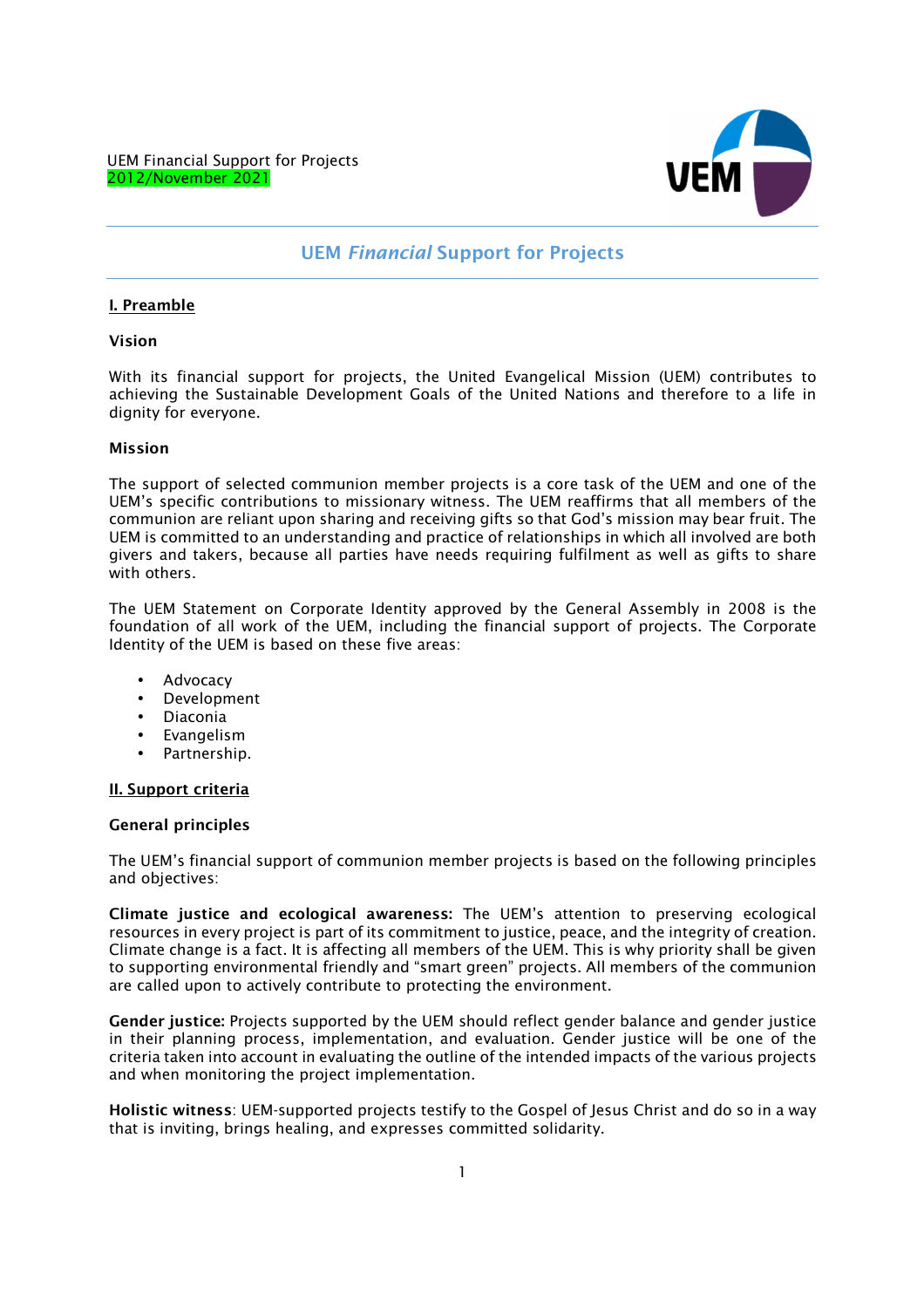

# **UEM** *Financial* **Support for Projects**

## **I. Preamble**

### **Vision**

*With its financial support for projects, the United Evangelical Mission (UEM) contributes to achieving the Sustainable Development Goals of the United Nations and therefore to a life in dignity for everyone.* 

### **Mission**

*The support of selected communion member projects is a core task of the UEM and one of the UEM's specific contributions to missionary witness. The UEM reaffirms that all members of the communion are reliant upon sharing and receiving gifts so that God's mission may bear fruit. The UEM is committed to an understanding and practice of relationships in which all involved are both givers and takers, because all parties have needs requiring fulfilment as well as gifts to share with others.* 

*The UEM Statement on Corporate Identity approved by the General Assembly in 2008 is the foundation of all work of the UEM, including the financial support of projects. The Corporate Identity of the UEM is based on these five areas:* 

- *Advocacy*
- *Development*
- *Diaconia*
- *Evangelism*
- *Partnership.*

### **II. Support criteria**

### **General principles**

*The UEM's financial support of communion member projects is based on the following principles and objectives:* 

**Climate justice and ecological awareness:** *The UEM's attention to preserving ecological resources in every project is part of its commitment to justice, peace, and the integrity of creation. Climate change is a fact. It is affecting all members of the UEM. This is why priority shall be given to supporting environmental friendly and "smart green" projects. All members of the communion are called upon to actively contribute to protecting the environment.* 

**Gender justice:** *Projects supported by the UEM should reflect gender balance and gender justice in their planning process, implementation, and evaluation. Gender justice will be one of the criteria taken into account in evaluating the outline of the intended impacts of the various projects and when monitoring the project implementation.* 

**Holistic witness***: UEM-supported projects testify to the Gospel of Jesus Christ and do so in a way that is inviting, brings healing, and expresses committed solidarity.*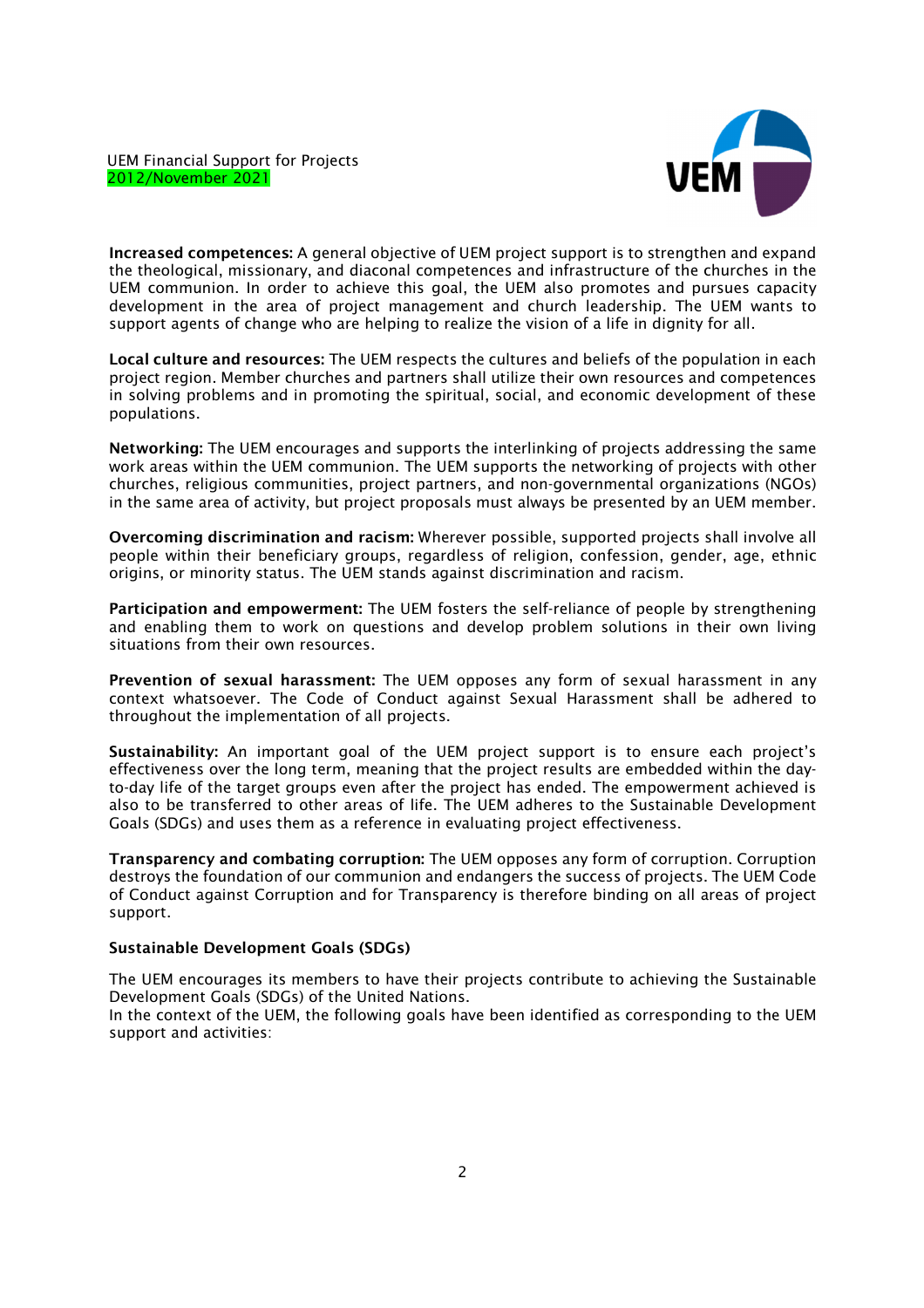

**Increased competences:** *A general objective of UEM project support is to strengthen and expand the theological, missionary, and diaconal competences and infrastructure of the churches in the UEM communion. In order to achieve this goal, the UEM also promotes and pursues capacity development in the area of project management and church leadership. The UEM wants to support agents of change who are helping to realize the vision of a life in dignity for all.* 

**Local culture and resources:** *The UEM respects the cultures and beliefs of the population in each project region. Member churches and partners shall utilize their own resources and competences in solving problems and in promoting the spiritual, social, and economic development of these populations.* 

**Networking:** *The UEM encourages and supports the interlinking of projects addressing the same work areas within the UEM communion. The UEM supports the networking of projects with other churches, religious communities, project partners, and non-governmental organizations (NGOs) in the same area of activity, but project proposals must always be presented by an UEM member.* 

**Overcoming discrimination and racism:** *Wherever possible, supported projects shall involve all people within their beneficiary groups, regardless of religion, confession, gender, age, ethnic origins, or minority status. The UEM stands against discrimination and racism.* 

**Participation and empowerment:** *The UEM fosters the self-reliance of people by strengthening and enabling them to work on questions and develop problem solutions in their own living situations from their own resources.* 

**Prevention of sexual harassment:** *The UEM opposes any form of sexual harassment in any context whatsoever. The Code of Conduct against Sexual Harassment shall be adhered to throughout the implementation of all projects.* 

**Sustainability:** *An important goal of the UEM project support is to ensure each project's effectiveness over the long term, meaning that the project results are embedded within the dayto-day life of the target groups even after the project has ended. The empowerment achieved is also to be transferred to other areas of life. The UEM adheres to the Sustainable Development Goals (SDGs) and uses them as a reference in evaluating project effectiveness.* 

**Transparency and combating corruption:** *The UEM opposes any form of corruption. Corruption destroys the foundation of our communion and endangers the success of projects. The UEM Code of Conduct against Corruption and for Transparency is therefore binding on all areas of project support.* 

# **Sustainable Development Goals (SDGs)**

*The UEM encourages its members to have their projects contribute to achieving the Sustainable Development Goals (SDGs) of the United Nations.* 

*In the context of the UEM, the following goals have been identified as corresponding to the UEM support and activities:*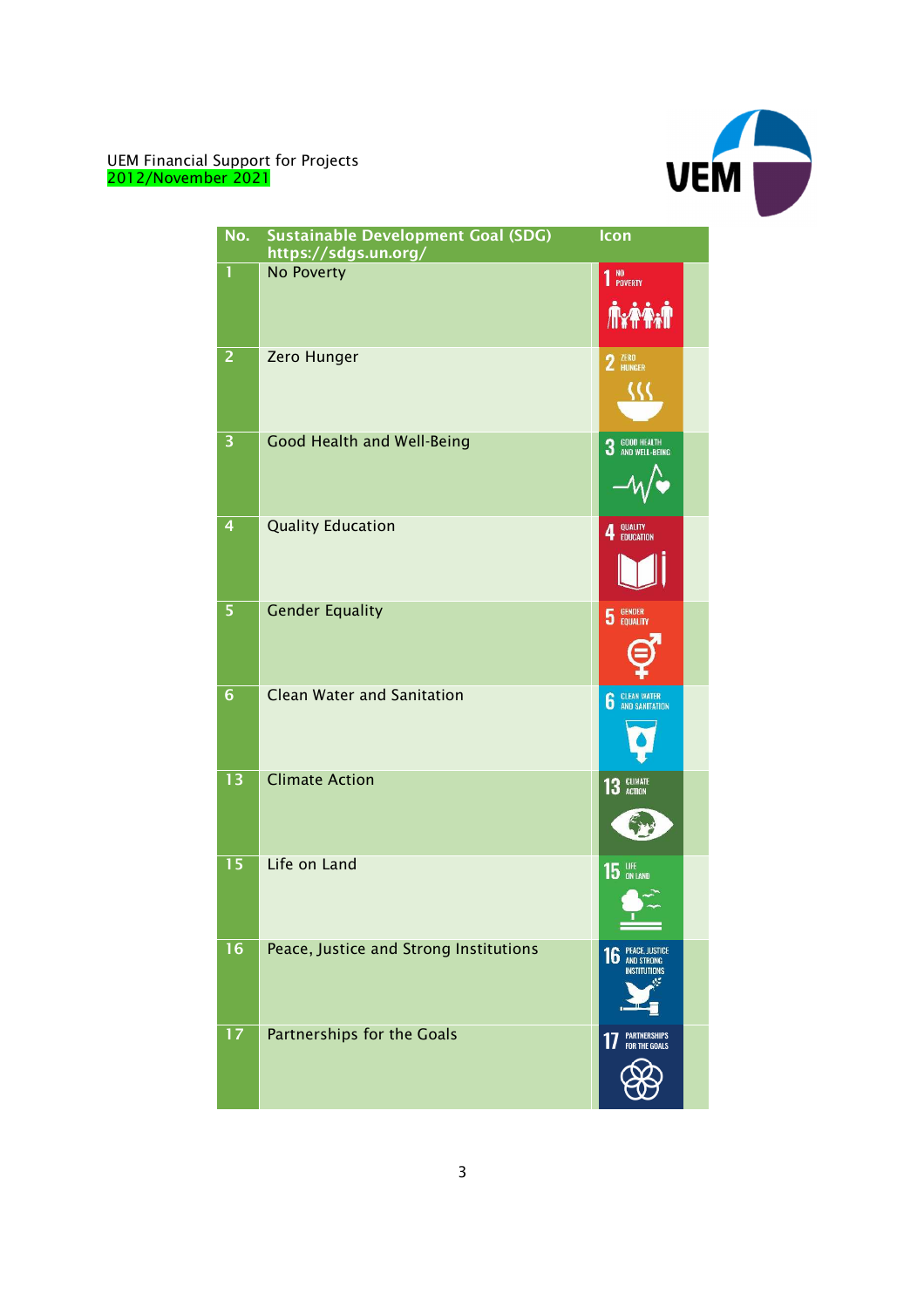

| No.             | <b>Sustainable Development Goal (SDG)</b><br>https://sdgs.un.org/ | Icon                                                             |
|-----------------|-------------------------------------------------------------------|------------------------------------------------------------------|
| 1               | No Poverty                                                        | 1 <sup>NO</sup><br>1 POVERTY                                     |
| 2               | Zero Hunger                                                       | 2 <b>HUNGER</b>                                                  |
| 3               | Good Health and Well-Being                                        | <b>GOOD HEALTH<br/>AND WELL-BEING</b><br>3                       |
| 4               | <b>Quality Education</b>                                          | 4 QUALITY                                                        |
| 5               | <b>Gender Equality</b>                                            | GENDER<br>EQUALITY<br>5                                          |
| $6\phantom{1}6$ | <b>Clean Water and Sanitation</b>                                 | <b>CLEAN WATER</b><br>AND SANITATION<br>6                        |
| 13              | <b>Climate Action</b>                                             | 13 GLIMATE                                                       |
| 15              | Life on Land                                                      | <b>15 UPE</b> ON LAND                                            |
| 16              | Peace, Justice and Strong Institutions                            | <b>PEACE, JUSTICE</b><br>16<br><b>AND STRONG</b><br>INSTITUTIONS |
| 17              | <b>Partnerships for the Goals</b>                                 | <b>PARTNERSHIPS</b><br>1<br><b>FOR THE GOALS</b>                 |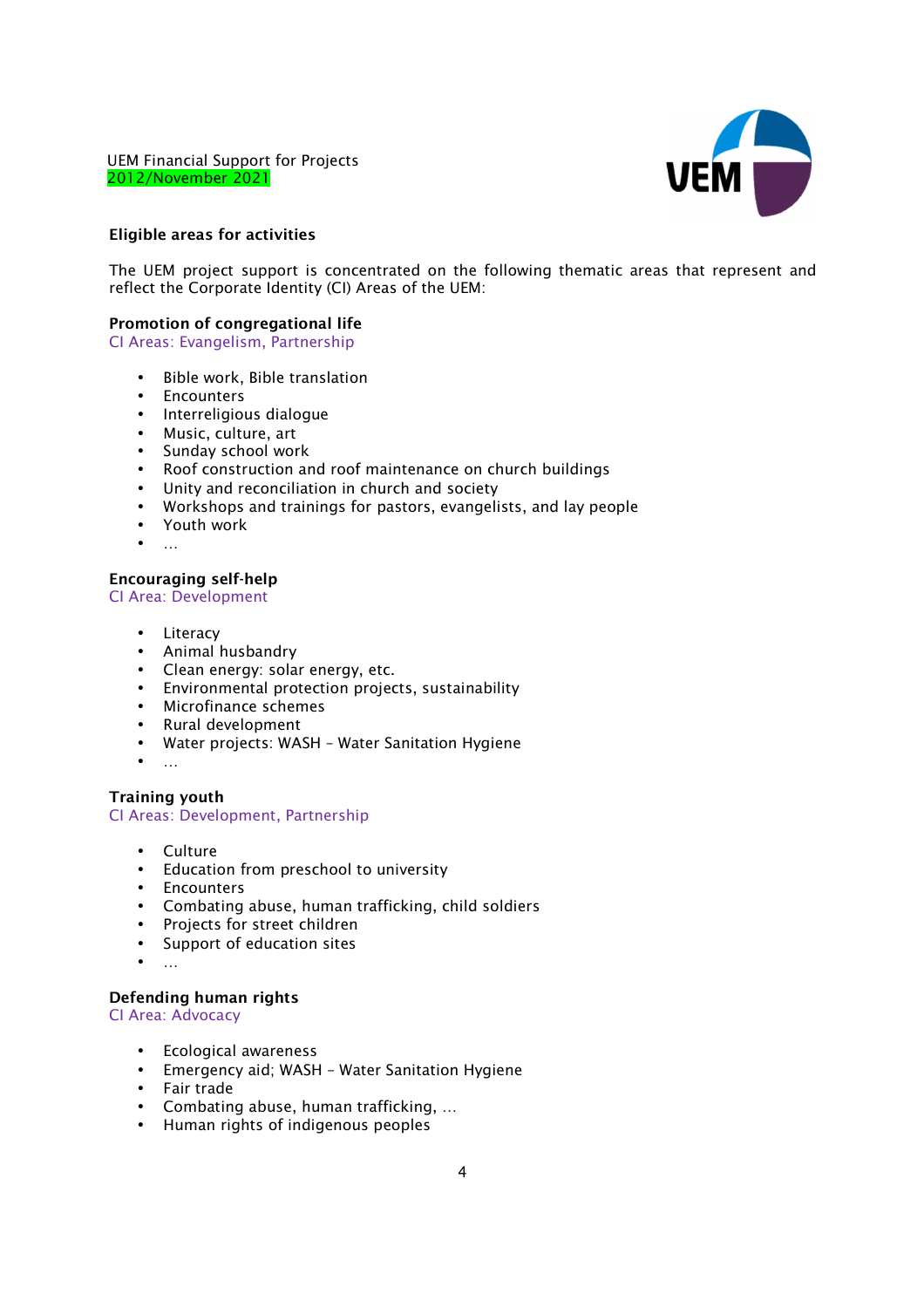

### **Eligible areas for activities**

*The UEM project support is concentrated on the following thematic areas that represent and reflect the Corporate Identity (CI) Areas of the UEM:* 

### **Promotion of congregational life**

*CI Areas: Evangelism, Partnership* 

- *Bible work, Bible translation*
- *Encounters*
- *Interreligious dialogue*
- *Music, culture, art*
- *Sunday school work*
- *Roof construction and roof maintenance on church buildings*
- *Unity and reconciliation in church and society*
- *Workshops and trainings for pastors, evangelists, and lay people*
- *Youth work*
- *…*

### **Encouraging self-help**

#### *CI Area: Development*

- *Literacy*
- *Animal husbandry*
- *Clean energy: solar energy, etc.*
- *Environmental protection projects, sustainability*
- *Microfinance schemes*
- *Rural development*
- *Water projects: WASH Water Sanitation Hygiene*
- 

## **Training youth**  *CI Areas: Development, Partnership*

- *Culture*
- *Education from preschool to university*
- *Encounters*
- *Combating abuse, human trafficking, child soldiers*
- *Projects for street children*
- *Support of education sites*
- *…*

### **Defending human rights**

*CI Area: Advocacy* 

- *Ecological awareness*
- *Emergency aid; WASH Water Sanitation Hygiene*
- *Fair trade*
- *Combating abuse, human trafficking, …*
- *Human rights of indigenous peoples*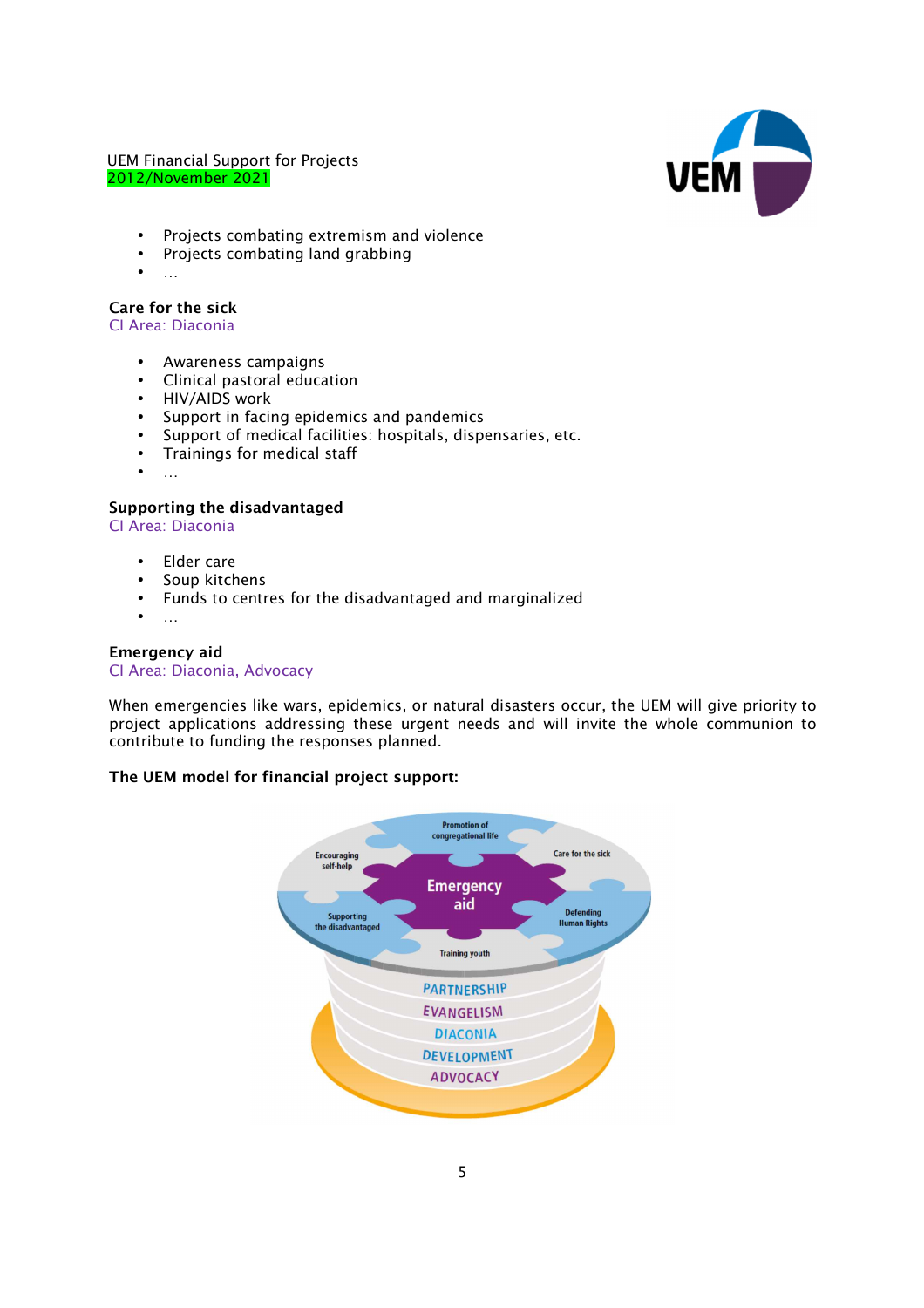

- *Projects combating extremism and violence*
- *Projects combating land grabbing*
- *…*

### **Care for the sick**

*CI Area: Diaconia* 

- *Awareness campaigns*
- *Clinical pastoral education*
- *HIV/AIDS work*
- *Support in facing epidemics and pandemics*
- *Support of medical facilities: hospitals, dispensaries, etc.*
- *Trainings for medical staff*
- *…*

# **Supporting the disadvantaged**

*CI Area: Diaconia* 

- *Elder care*
- *Soup kitchens*
- *Funds to centres for the disadvantaged and marginalized*
- *…*

# **Emergency aid**

### *CI Area: Diaconia, Advocacy*

*When emergencies like wars, epidemics, or natural disasters occur, the UEM will give priority to project applications addressing these urgent needs and will invite the whole communion to contribute to funding the responses planned.* 

# **The UEM model for financial project support:**

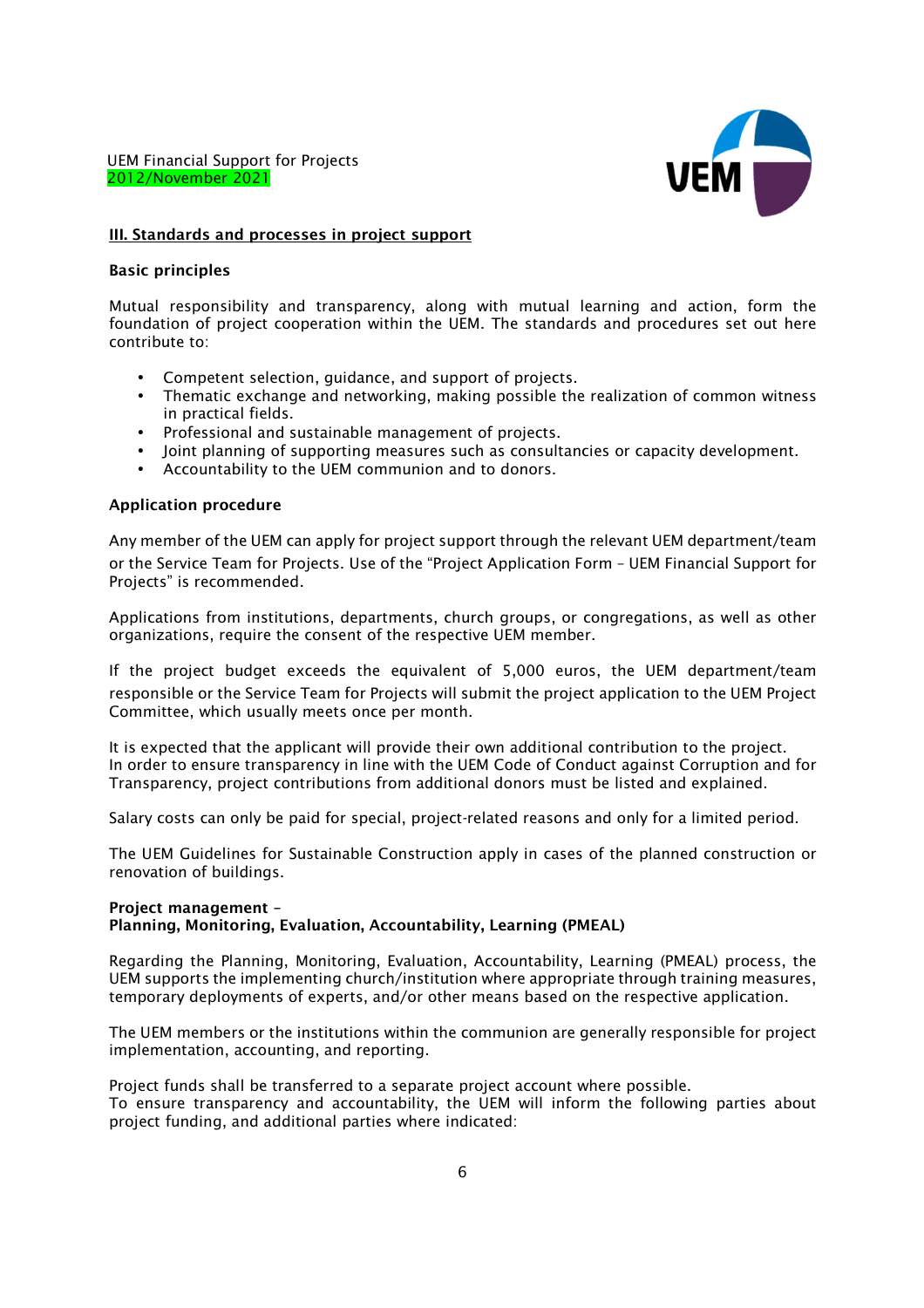

### **III. Standards and processes in project support**

### **Basic principles**

*Mutual responsibility and transparency, along with mutual learning and action, form the foundation of project cooperation within the UEM. The standards and procedures set out here contribute to:* 

- *Competent selection, guidance, and support of projects.*
- *Thematic exchange and networking, making possible the realization of common witness in practical fields.*
- *Professional and sustainable management of projects.*
- *Joint planning of supporting measures such as consultancies or capacity development.*
- *Accountability to the UEM communion and to donors.*

### **Application procedure**

*Any member of the UEM can apply for project support through the relevant UEM department/team or the* Service Team for Projects. *Use of the "Project Application Form – UEM Financial Support for Projects" is recommended.* 

*Applications from institutions, departments, church groups, or congregations, as well as other organizations, require the consent of the respective UEM member.* 

*If the project budget exceeds the equivalent of 5,000 euros, the UEM department/team responsible or the* Service Team for Projects *will submit the project application to the UEM Project Committee, which usually meets once per month.* 

*It is expected that the applicant will provide their own additional contribution to the project. In order to ensure transparency in line with the UEM Code of Conduct against Corruption and for Transparency, project contributions from additional donors must be listed and explained.* 

*Salary costs can only be paid for special, project-related reasons and only for a limited period.* 

*The UEM Guidelines for Sustainable Construction apply in cases of the planned construction or renovation of buildings.* 

### **Project management – Planning, Monitoring, Evaluation, Accountability, Learning (PMEAL)**

*Regarding the Planning, Monitoring, Evaluation, Accountability, Learning (PMEAL) process, the UEM supports the implementing church/institution where appropriate through training measures, temporary deployments of experts, and/or other means based on the respective application.* 

*The UEM members or the institutions within the communion are generally responsible for project implementation, accounting, and reporting.* 

*Project funds shall be transferred to a separate project account where possible. To ensure transparency and accountability, the UEM will inform the following parties about project funding, and additional parties where indicated:*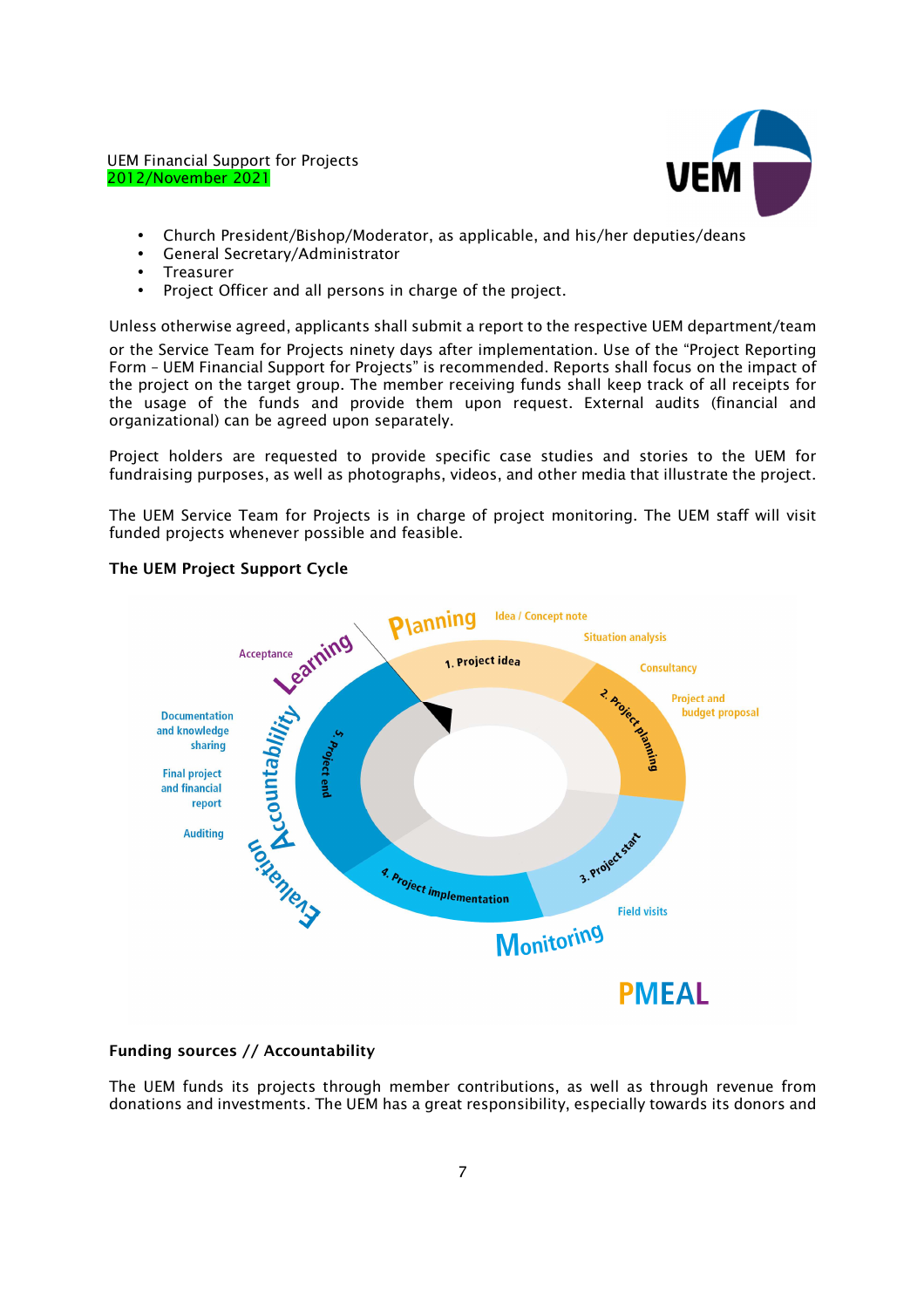

- *Church President/Bishop/Moderator, as applicable, and his/her deputies/deans*
- *General Secretary/Administrator*
- *Treasurer*
- *Project Officer and all persons in charge of the project.*

*Unless otherwise agreed, applicants shall submit a report to the respective UEM department/team or the* Service Team for Projects *ninety days after implementation. Use of the "Project Reporting Form – UEM Financial Support for Projects" is recommended. Reports shall focus on the impact of the project on the target group. The member receiving funds shall keep track of all receipts for the usage of the funds and provide them upon request. External audits (financial and organizational) can be agreed upon separately.* 

*Project holders are requested to provide specific case studies and stories to the UEM for fundraising purposes, as well as photographs, videos, and other media that illustrate the project.* 

*The UEM* Service Team for Projects *is in charge of project monitoring. The UEM staff will visit funded projects whenever possible and feasible.* 



# **The UEM Project Support Cycle**

# **Funding sources // Accountability**

*The UEM funds its projects through member contributions, as well as through revenue from donations and investments. The UEM has a great responsibility, especially towards its donors and*